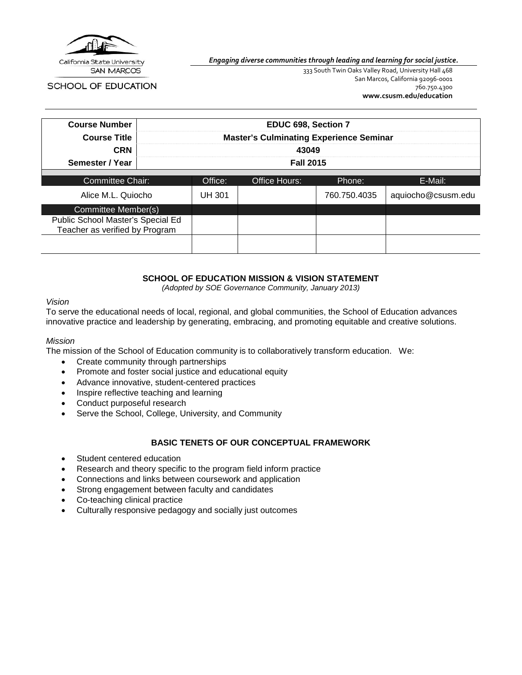

**SAN MARCOS** 

SCHOOL OF EDUCATION

*Engaging diverse communities through leading and learning for social justice.*

333 South Twin Oaks Valley Road, University Hall 468 San Marcos, California 92096-0001 760.750.4300 **[www.csusm.edu/education](http://www.csusm.edu/education)**

| <b>Course Number</b>                                                |                  | EDUC 698, Section 7                            |                      |              |                    |
|---------------------------------------------------------------------|------------------|------------------------------------------------|----------------------|--------------|--------------------|
| <b>Course Title</b>                                                 |                  | <b>Master's Culminating Experience Seminar</b> |                      |              |                    |
| <b>CRN</b>                                                          | 43049            |                                                |                      |              |                    |
| Semester / Year                                                     | <b>Fall 2015</b> |                                                |                      |              |                    |
|                                                                     |                  |                                                |                      |              |                    |
| Committee Chair:                                                    |                  | Office:                                        | <b>Office Hours:</b> | Phone:       | E-Mail:            |
| Alice M.L. Quiocho                                                  |                  | UH 301                                         |                      | 760.750.4035 | aquiocho@csusm.edu |
| Committee Member(s)                                                 |                  |                                                |                      |              |                    |
| Public School Master's Special Ed<br>Teacher as verified by Program |                  |                                                |                      |              |                    |
|                                                                     |                  |                                                |                      |              |                    |

# **SCHOOL OF EDUCATION MISSION & VISION STATEMENT**

*(Adopted by SOE Governance Community, January 2013)*

#### *Vision*

To serve the educational needs of local, regional, and global communities, the School of Education advances innovative practice and leadership by generating, embracing, and promoting equitable and creative solutions.

#### *Mission*

The mission of the School of Education community is to collaboratively transform education. We:

- Create community through partnerships
- Promote and foster social justice and educational equity
- Advance innovative, student-centered practices
- Inspire reflective teaching and learning
- Conduct purposeful research
- Serve the School, College, University, and Community

## **BASIC TENETS OF OUR CONCEPTUAL FRAMEWORK**

- Student centered education
- Research and theory specific to the program field inform practice
- Connections and links between coursework and application
- Strong engagement between faculty and candidates
- Co-teaching clinical practice
- Culturally responsive pedagogy and socially just outcomes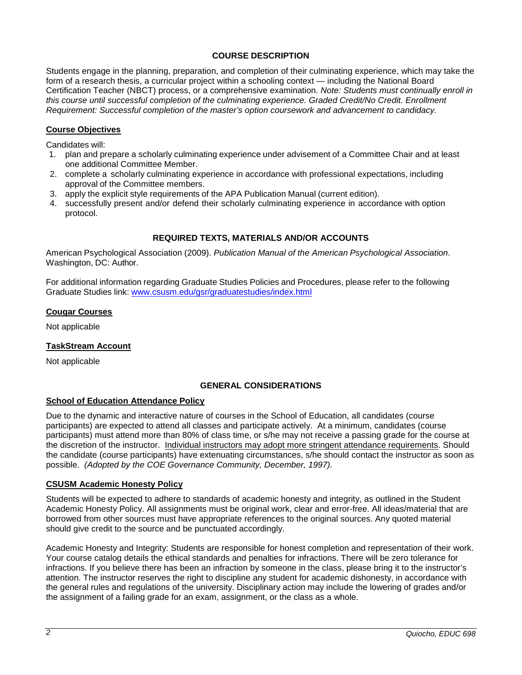## **COURSE DESCRIPTION**

Students engage in the planning, preparation, and completion of their culminating experience, which may take the form of a research thesis, a curricular project within a schooling context — including the National Board Certification Teacher (NBCT) process, or a comprehensive examination. *Note: Students must continually enroll in this course until successful completion of the culminating experience. Graded Credit/No Credit. Enrollment Requirement: Successful completion of the master's option coursework and advancement to candidacy.*

## **Course Objectives**

Candidates will:

- 1. plan and prepare a scholarly culminating experience under advisement of a Committee Chair and at least one additional Committee Member.
- 2. complete a scholarly culminating experience in accordance with professional expectations, including approval of the Committee members.
- 3. apply the explicit style requirements of the APA Publication Manual (current edition).
- 4. successfully present and/or defend their scholarly culminating experience in accordance with option protocol.

# **REQUIRED TEXTS, MATERIALS AND/OR ACCOUNTS**

American Psychological Association (2009). *Publication Manual of the American Psychological Association*. Washington, DC: Author.

For additional information regarding Graduate Studies Policies and Procedures, please refer to the following Graduate Studies link: [www.csusm.edu/gsr/graduatestudies/index.html](http://www.csusm.edu/gsr/graduatestudies/index.html)

## **Cougar Courses**

Not applicable

## **TaskStream Account**

Not applicable

## **GENERAL CONSIDERATIONS**

#### **School of Education Attendance Policy**

Due to the dynamic and interactive nature of courses in the School of Education, all candidates (course participants) are expected to attend all classes and participate actively. At a minimum, candidates (course participants) must attend more than 80% of class time, or s/he may not receive a passing grade for the course at the discretion of the instructor. Individual instructors may adopt more stringent attendance requirements. Should the candidate (course participants) have extenuating circumstances, s/he should contact the instructor as soon as possible. *(Adopted by the COE Governance Community, December, 1997).*

#### **CSUSM Academic Honesty Policy**

Students will be expected to adhere to standards of academic honesty and integrity, as outlined in the Student Academic Honesty Policy. All assignments must be original work, clear and error-free. All ideas/material that are borrowed from other sources must have appropriate references to the original sources. Any quoted material should give credit to the source and be punctuated accordingly.

Academic Honesty and Integrity: Students are responsible for honest completion and representation of their work. Your course catalog details the ethical standards and penalties for infractions. There will be zero tolerance for infractions. If you believe there has been an infraction by someone in the class, please bring it to the instructor's attention. The instructor reserves the right to discipline any student for academic dishonesty, in accordance with the general rules and regulations of the university. Disciplinary action may include the lowering of grades and/or the assignment of a failing grade for an exam, assignment, or the class as a whole.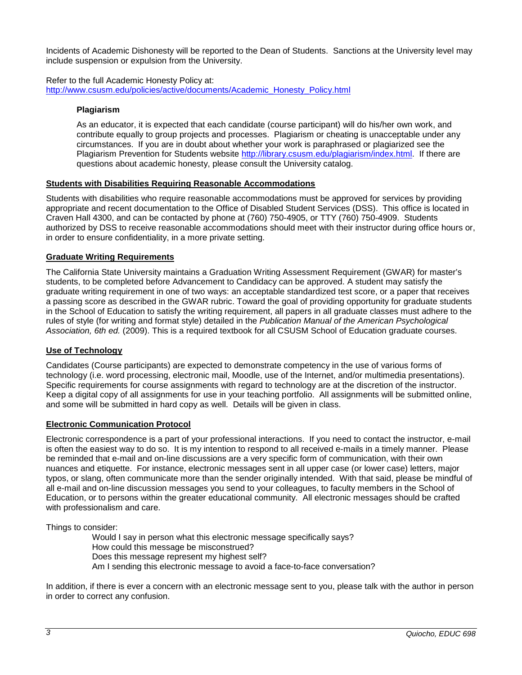Incidents of Academic Dishonesty will be reported to the Dean of Students. Sanctions at the University level may include suspension or expulsion from the University.

Refer to the full Academic Honesty Policy at: [http://www.csusm.edu/policies/active/documents/Academic\\_Honesty\\_Policy.html](http://www.csusm.edu/policies/active/documents/Academic_Honesty_Policy.html)

## **Plagiarism**

As an educator, it is expected that each candidate (course participant) will do his/her own work, and contribute equally to group projects and processes. Plagiarism or cheating is unacceptable under any circumstances. If you are in doubt about whether your work is paraphrased or plagiarized see the Plagiarism Prevention for Students website [http://library.csusm.edu/plagiarism/index.html.](http://library.csusm.edu/plagiarism/index.html) If there are questions about academic honesty, please consult the University catalog.

## **Students with Disabilities Requiring Reasonable Accommodations**

Students with disabilities who require reasonable accommodations must be approved for services by providing appropriate and recent documentation to the Office of Disabled Student Services (DSS). This office is located in Craven Hall 4300, and can be contacted by phone at (760) 750-4905, or TTY (760) 750-4909. Students authorized by DSS to receive reasonable accommodations should meet with their instructor during office hours or, in order to ensure confidentiality, in a more private setting.

## **Graduate Writing Requirements**

The California State University maintains a Graduation Writing Assessment Requirement (GWAR) for master's students, to be completed before Advancement to Candidacy can be approved. A student may satisfy the graduate writing requirement in one of two ways: an acceptable standardized test score, or a paper that receives a passing score as described in the GWAR rubric. Toward the goal of providing opportunity for graduate students in the School of Education to satisfy the writing requirement, all papers in all graduate classes must adhere to the rules of style (for writing and format style) detailed in the *Publication Manual of the American Psychological Association, 6th ed.* (2009). This is a required textbook for all CSUSM School of Education graduate courses.

## **Use of Technology**

Candidates (Course participants) are expected to demonstrate competency in the use of various forms of technology (i.e. word processing, electronic mail, Moodle, use of the Internet, and/or multimedia presentations). Specific requirements for course assignments with regard to technology are at the discretion of the instructor. Keep a digital copy of all assignments for use in your teaching portfolio. All assignments will be submitted online, and some will be submitted in hard copy as well. Details will be given in class.

#### **Electronic Communication Protocol**

Electronic correspondence is a part of your professional interactions. If you need to contact the instructor, e-mail is often the easiest way to do so. It is my intention to respond to all received e-mails in a timely manner. Please be reminded that e-mail and on-line discussions are a very specific form of communication, with their own nuances and etiquette. For instance, electronic messages sent in all upper case (or lower case) letters, major typos, or slang, often communicate more than the sender originally intended. With that said, please be mindful of all e-mail and on-line discussion messages you send to your colleagues, to faculty members in the School of Education, or to persons within the greater educational community. All electronic messages should be crafted with professionalism and care.

Things to consider:

Would I say in person what this electronic message specifically says? How could this message be misconstrued? Does this message represent my highest self? Am I sending this electronic message to avoid a face-to-face conversation?

In addition, if there is ever a concern with an electronic message sent to you, please talk with the author in person in order to correct any confusion.